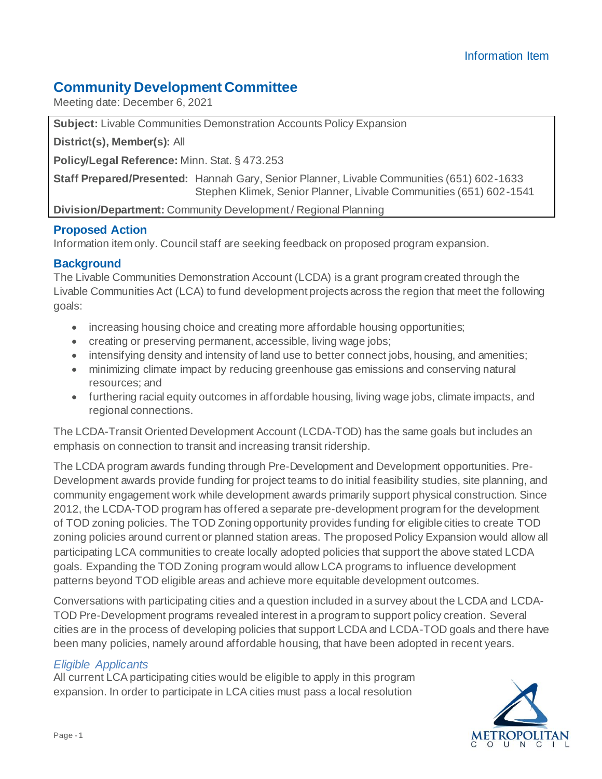# **Community Development Committee**

Meeting date: December 6, 2021

**Subject:** Livable Communities Demonstration Accounts Policy Expansion

**District(s), Member(s):** All

**Policy/Legal Reference:** Minn. Stat. § 473.253

**Staff Prepared/Presented:** Hannah Gary, Senior Planner, Livable Communities (651) 602-1633 Stephen Klimek, Senior Planner, Livable Communities (651) 602-1541

**Division/Department:** Community Development / Regional Planning

# **Proposed Action**

Information item only. Council staff are seeking feedback on proposed program expansion.

# **Background**

The Livable Communities Demonstration Account (LCDA) is a grant program created through the Livable Communities Act (LCA) to fund development projects across the region that meet the following goals:

- increasing housing choice and creating more affordable housing opportunities;
- creating or preserving permanent, accessible, living wage jobs;
- intensifying density and intensity of land use to better connect jobs, housing, and amenities;
- minimizing climate impact by reducing greenhouse gas emissions and conserving natural resources; and
- furthering racial equity outcomes in affordable housing, living wage jobs, climate impacts, and regional connections.

The LCDA-Transit Oriented Development Account (LCDA-TOD) has the same goals but includes an emphasis on connection to transit and increasing transit ridership.

The LCDA program awards funding through Pre-Development and Development opportunities. Pre-Development awards provide funding for project teams to do initial feasibility studies, site planning, and community engagement work while development awards primarily support physical construction. Since 2012, the LCDA-TOD program has offered a separate pre-development program for the development of TOD zoning policies. The TOD Zoning opportunity provides funding for eligible cities to create TOD zoning policies around current or planned station areas. The proposed Policy Expansion would allow all participating LCA communities to create locally adopted policies that support the above stated LCDA goals. Expanding the TOD Zoning program would allow LCA programs to influence development patterns beyond TOD eligible areas and achieve more equitable development outcomes.

Conversations with participating cities and a question included in a survey about the LCDA and LCDA-TOD Pre-Development programs revealed interest in a program to support policy creation. Several cities are in the process of developing policies that support LCDA and LCDA-TOD goals and there have been many policies, namely around affordable housing, that have been adopted in recent years.

#### *Eligible Applicants*

All current LCA participating cities would be eligible to apply in this program expansion. In order to participate in LCA cities must pass a local resolution

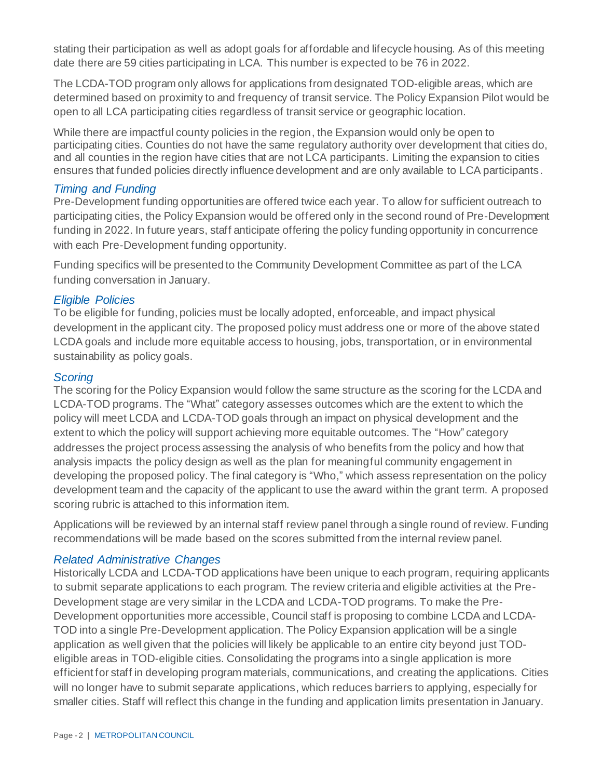stating their participation as well as adopt goals for affordable and lifecycle housing. As of this meeting date there are 59 cities participating in LCA. This number is expected to be 76 in 2022.

The LCDA-TOD program only allows for applications from designated TOD-eligible areas, which are determined based on proximity to and frequency of transit service. The Policy Expansion Pilot would be open to all LCA participating cities regardless of transit service or geographic location.

While there are impactful county policies in the region, the Expansion would only be open to participating cities. Counties do not have the same regulatory authority over development that cities do, and all counties in the region have cities that are not LCA participants. Limiting the expansion to cities ensures that funded policies directly influence development and are only available to LCA participants.

## *Timing and Funding*

Pre-Development funding opportunities are offered twice each year. To allow for sufficient outreach to participating cities, the Policy Expansion would be offered only in the second round of Pre-Development funding in 2022. In future years, staff anticipate offering the policy funding opportunity in concurrence with each Pre-Development funding opportunity.

Funding specifics will be presented to the Community Development Committee as part of the LCA funding conversation in January.

## *Eligible Policies*

To be eligible for funding, policies must be locally adopted, enforceable, and impact physical development in the applicant city. The proposed policy must address one or more of the above stated LCDA goals and include more equitable access to housing, jobs, transportation, or in environmental sustainability as policy goals.

#### *Scoring*

The scoring for the Policy Expansion would follow the same structure as the scoring for the LCDA and LCDA-TOD programs. The "What" category assesses outcomes which are the extent to which the policy will meet LCDA and LCDA-TOD goals through an impact on physical development and the extent to which the policy will support achieving more equitable outcomes. The "How" category addresses the project process assessing the analysis of who benefits from the policy and how that analysis impacts the policy design as well as the plan for meaningful community engagement in developing the proposed policy. The final category is "Who," which assess representation on the policy development team and the capacity of the applicant to use the award within the grant term. A proposed scoring rubric is attached to this information item.

Applications will be reviewed by an internal staff review panel through a single round of review. Funding recommendations will be made based on the scores submitted from the internal review panel.

#### *Related Administrative Changes*

Historically LCDA and LCDA-TOD applications have been unique to each program, requiring applicants to submit separate applications to each program. The review criteria and eligible activities at the Pre-Development stage are very similar in the LCDA and LCDA-TOD programs. To make the Pre-Development opportunities more accessible, Council staff is proposing to combine LCDA and LCDA-TOD into a single Pre-Development application. The Policy Expansion application will be a single application as well given that the policies will likely be applicable to an entire city beyond just TODeligible areas in TOD-eligible cities. Consolidating the programs into a single application is more efficient for staff in developing program materials, communications, and creating the applications. Cities will no longer have to submit separate applications, which reduces barriers to applying, especially for smaller cities. Staff will reflect this change in the funding and application limits presentation in January.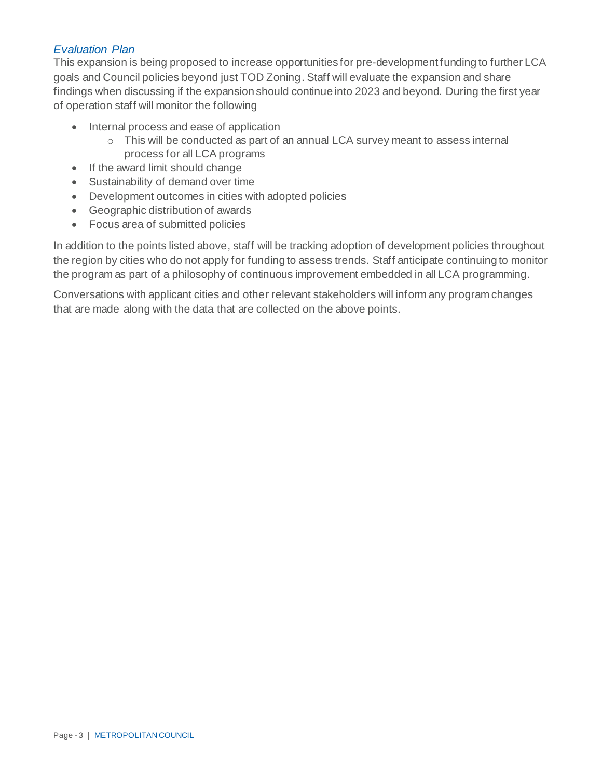#### *Evaluation Plan*

This expansion is being proposed to increase opportunities for pre-development funding to further LCA goals and Council policies beyond just TOD Zoning. Staff will evaluate the expansion and share findings when discussing if the expansion should continue into 2023 and beyond. During the first year of operation staff will monitor the following

- Internal process and ease of application
	- o This will be conducted as part of an annual LCA survey meant to assess internal process for all LCA programs
- If the award limit should change
- Sustainability of demand over time
- Development outcomes in cities with adopted policies
- Geographic distribution of awards
- Focus area of submitted policies

In addition to the points listed above, staff will be tracking adoption of development policies throughout the region by cities who do not apply for funding to assess trends. Staff anticipate continuing to monitor the program as part of a philosophy of continuous improvement embedded in all LCA programming.

Conversations with applicant cities and other relevant stakeholders will inform any program changes that are made along with the data that are collected on the above points.